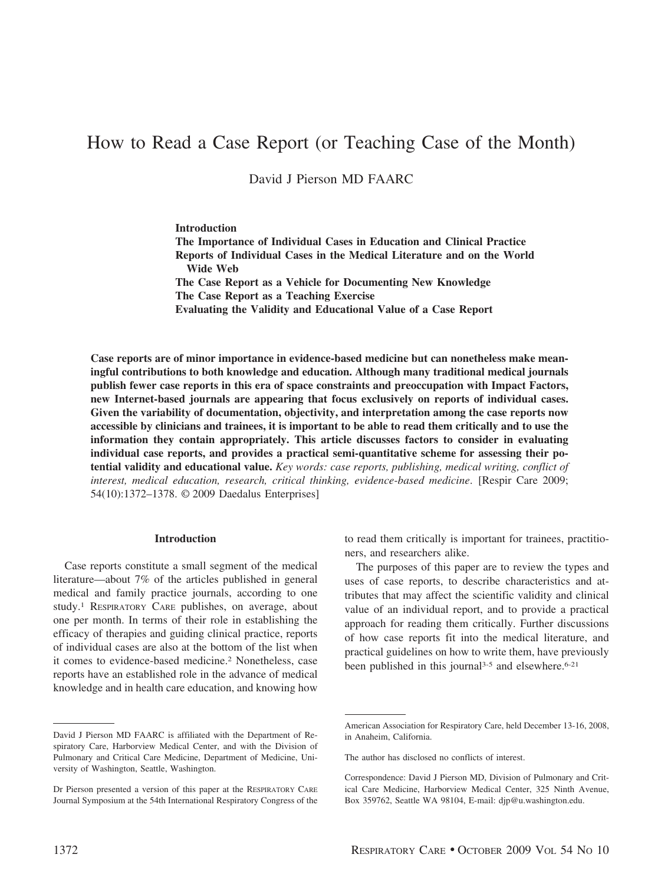# How to Read a Case Report (or Teaching Case of the Month)

David J Pierson MD FAARC

**Introduction The Importance of Individual Cases in Education and Clinical Practice Reports of Individual Cases in the Medical Literature and on the World Wide Web The Case Report as a Vehicle for Documenting New Knowledge The Case Report as a Teaching Exercise Evaluating the Validity and Educational Value of a Case Report**

**Case reports are of minor importance in evidence-based medicine but can nonetheless make meaningful contributions to both knowledge and education. Although many traditional medical journals publish fewer case reports in this era of space constraints and preoccupation with Impact Factors, new Internet-based journals are appearing that focus exclusively on reports of individual cases. Given the variability of documentation, objectivity, and interpretation among the case reports now accessible by clinicians and trainees, it is important to be able to read them critically and to use the information they contain appropriately. This article discusses factors to consider in evaluating individual case reports, and provides a practical semi-quantitative scheme for assessing their potential validity and educational value.** *Key words: case reports, publishing, medical writing, conflict of interest, medical education, research, critical thinking, evidence-based medicine*. [Respir Care 2009; 54(10):1372–1378. © 2009 Daedalus Enterprises]

#### **Introduction**

Case reports constitute a small segment of the medical literature—about 7% of the articles published in general medical and family practice journals, according to one study.1 RESPIRATORY CARE publishes, on average, about one per month. In terms of their role in establishing the efficacy of therapies and guiding clinical practice, reports of individual cases are also at the bottom of the list when it comes to evidence-based medicine.2 Nonetheless, case reports have an established role in the advance of medical knowledge and in health care education, and knowing how to read them critically is important for trainees, practitioners, and researchers alike.

The purposes of this paper are to review the types and uses of case reports, to describe characteristics and attributes that may affect the scientific validity and clinical value of an individual report, and to provide a practical approach for reading them critically. Further discussions of how case reports fit into the medical literature, and practical guidelines on how to write them, have previously been published in this journal<sup>3-5</sup> and elsewhere.<sup>6-21</sup>

David J Pierson MD FAARC is affiliated with the Department of Respiratory Care, Harborview Medical Center, and with the Division of Pulmonary and Critical Care Medicine, Department of Medicine, University of Washington, Seattle, Washington.

Dr Pierson presented a version of this paper at the RESPIRATORY CARE Journal Symposium at the 54th International Respiratory Congress of the

American Association for Respiratory Care, held December 13-16, 2008, in Anaheim, California.

The author has disclosed no conflicts of interest.

Correspondence: David J Pierson MD, Division of Pulmonary and Critical Care Medicine, Harborview Medical Center, 325 Ninth Avenue, Box 359762, Seattle WA 98104, E-mail: djp@u.washington.edu.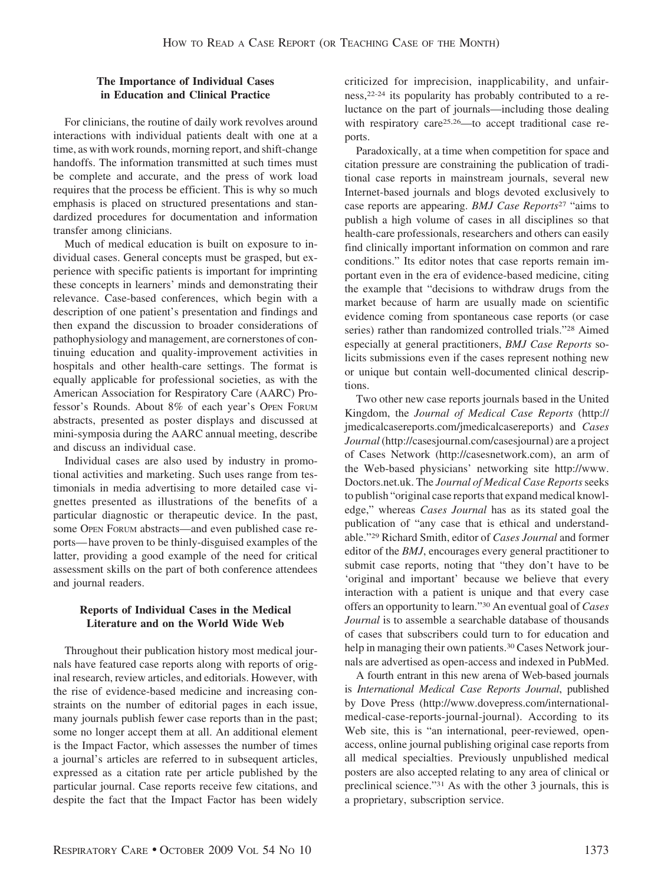#### **The Importance of Individual Cases in Education and Clinical Practice**

For clinicians, the routine of daily work revolves around interactions with individual patients dealt with one at a time, as with work rounds, morning report, and shift-change handoffs. The information transmitted at such times must be complete and accurate, and the press of work load requires that the process be efficient. This is why so much emphasis is placed on structured presentations and standardized procedures for documentation and information transfer among clinicians.

Much of medical education is built on exposure to individual cases. General concepts must be grasped, but experience with specific patients is important for imprinting these concepts in learners' minds and demonstrating their relevance. Case-based conferences, which begin with a description of one patient's presentation and findings and then expand the discussion to broader considerations of pathophysiology and management, are cornerstones of continuing education and quality-improvement activities in hospitals and other health-care settings. The format is equally applicable for professional societies, as with the American Association for Respiratory Care (AARC) Professor's Rounds. About 8% of each year's OPEN FORUM abstracts, presented as poster displays and discussed at mini-symposia during the AARC annual meeting, describe and discuss an individual case.

Individual cases are also used by industry in promotional activities and marketing. Such uses range from testimonials in media advertising to more detailed case vignettes presented as illustrations of the benefits of a particular diagnostic or therapeutic device. In the past, some OPEN FORUM abstracts—and even published case reports— have proven to be thinly-disguised examples of the latter, providing a good example of the need for critical assessment skills on the part of both conference attendees and journal readers.

### **Reports of Individual Cases in the Medical Literature and on the World Wide Web**

Throughout their publication history most medical journals have featured case reports along with reports of original research, review articles, and editorials. However, with the rise of evidence-based medicine and increasing constraints on the number of editorial pages in each issue, many journals publish fewer case reports than in the past; some no longer accept them at all. An additional element is the Impact Factor, which assesses the number of times a journal's articles are referred to in subsequent articles, expressed as a citation rate per article published by the particular journal. Case reports receive few citations, and despite the fact that the Impact Factor has been widely criticized for imprecision, inapplicability, and unfairness,22-24 its popularity has probably contributed to a reluctance on the part of journals—including those dealing with respiratory care<sup>25,26</sup>—to accept traditional case reports.

Paradoxically, at a time when competition for space and citation pressure are constraining the publication of traditional case reports in mainstream journals, several new Internet-based journals and blogs devoted exclusively to case reports are appearing. *BMJ Case Reports*<sup>27</sup> "aims to publish a high volume of cases in all disciplines so that health-care professionals, researchers and others can easily find clinically important information on common and rare conditions." Its editor notes that case reports remain important even in the era of evidence-based medicine, citing the example that "decisions to withdraw drugs from the market because of harm are usually made on scientific evidence coming from spontaneous case reports (or case series) rather than randomized controlled trials."28 Aimed especially at general practitioners, *BMJ Case Reports* solicits submissions even if the cases represent nothing new or unique but contain well-documented clinical descriptions.

Two other new case reports journals based in the United Kingdom, the *Journal of Medical Case Reports* (http:// jmedicalcasereports.com/jmedicalcasereports) and *Cases Journal*(http://casesjournal.com/casesjournal) are a project of Cases Network (http://casesnetwork.com), an arm of the Web-based physicians' networking site http://www. Doctors.net.uk. The *Journal of Medical Case Reports*seeks to publish "original case reports that expand medical knowledge," whereas *Cases Journal* has as its stated goal the publication of "any case that is ethical and understandable."29 Richard Smith, editor of *Cases Journal* and former editor of the *BMJ*, encourages every general practitioner to submit case reports, noting that "they don't have to be 'original and important' because we believe that every interaction with a patient is unique and that every case offers an opportunity to learn."30 An eventual goal of *Cases Journal* is to assemble a searchable database of thousands of cases that subscribers could turn to for education and help in managing their own patients.<sup>30</sup> Cases Network journals are advertised as open-access and indexed in PubMed.

A fourth entrant in this new arena of Web-based journals is *International Medical Case Reports Journal*, published by Dove Press (http://www.dovepress.com/internationalmedical-case-reports-journal-journal). According to its Web site, this is "an international, peer-reviewed, openaccess, online journal publishing original case reports from all medical specialties. Previously unpublished medical posters are also accepted relating to any area of clinical or preclinical science."31 As with the other 3 journals, this is a proprietary, subscription service.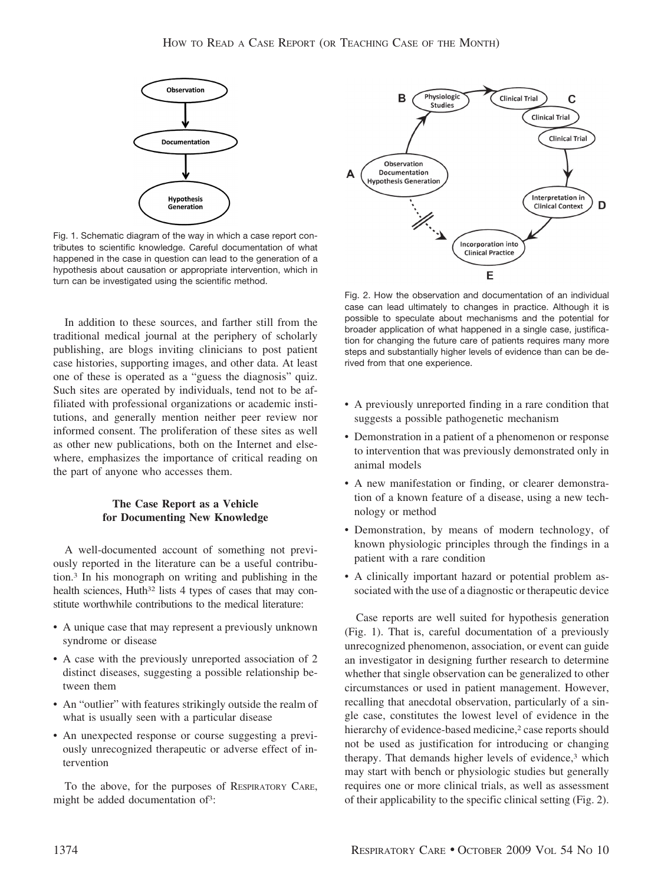

Fig. 1. Schematic diagram of the way in which a case report contributes to scientific knowledge. Careful documentation of what happened in the case in question can lead to the generation of a hypothesis about causation or appropriate intervention, which in turn can be investigated using the scientific method.

In addition to these sources, and farther still from the traditional medical journal at the periphery of scholarly publishing, are blogs inviting clinicians to post patient case histories, supporting images, and other data. At least one of these is operated as a "guess the diagnosis" quiz. Such sites are operated by individuals, tend not to be affiliated with professional organizations or academic institutions, and generally mention neither peer review nor informed consent. The proliferation of these sites as well as other new publications, both on the Internet and elsewhere, emphasizes the importance of critical reading on the part of anyone who accesses them.

#### **The Case Report as a Vehicle for Documenting New Knowledge**

A well-documented account of something not previously reported in the literature can be a useful contribution.3 In his monograph on writing and publishing in the health sciences, Huth<sup>32</sup> lists 4 types of cases that may constitute worthwhile contributions to the medical literature:

- A unique case that may represent a previously unknown syndrome or disease
- A case with the previously unreported association of 2 distinct diseases, suggesting a possible relationship between them
- An "outlier" with features strikingly outside the realm of what is usually seen with a particular disease
- An unexpected response or course suggesting a previously unrecognized therapeutic or adverse effect of intervention

To the above, for the purposes of RESPIRATORY CARE, might be added documentation of<sup>3</sup>:



Fig. 2. How the observation and documentation of an individual case can lead ultimately to changes in practice. Although it is possible to speculate about mechanisms and the potential for broader application of what happened in a single case, justification for changing the future care of patients requires many more steps and substantially higher levels of evidence than can be derived from that one experience.

- A previously unreported finding in a rare condition that suggests a possible pathogenetic mechanism
- Demonstration in a patient of a phenomenon or response to intervention that was previously demonstrated only in animal models
- A new manifestation or finding, or clearer demonstration of a known feature of a disease, using a new technology or method
- Demonstration, by means of modern technology, of known physiologic principles through the findings in a patient with a rare condition
- A clinically important hazard or potential problem associated with the use of a diagnostic or therapeutic device

Case reports are well suited for hypothesis generation (Fig. 1). That is, careful documentation of a previously unrecognized phenomenon, association, or event can guide an investigator in designing further research to determine whether that single observation can be generalized to other circumstances or used in patient management. However, recalling that anecdotal observation, particularly of a single case, constitutes the lowest level of evidence in the hierarchy of evidence-based medicine,<sup>2</sup> case reports should not be used as justification for introducing or changing therapy. That demands higher levels of evidence,<sup>3</sup> which may start with bench or physiologic studies but generally requires one or more clinical trials, as well as assessment of their applicability to the specific clinical setting (Fig. 2).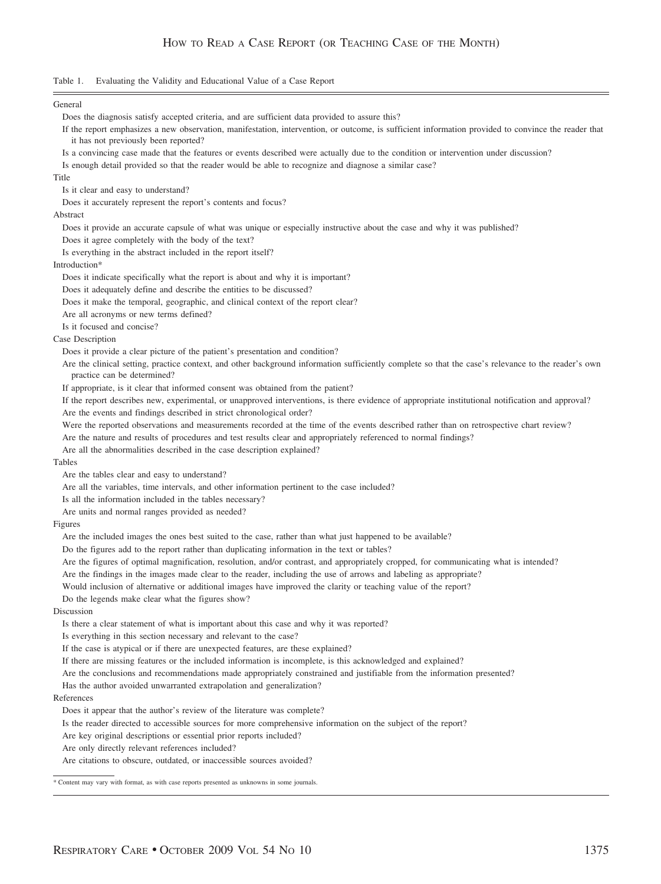Table 1. Evaluating the Validity and Educational Value of a Case Report

General Does the diagnosis satisfy accepted criteria, and are sufficient data provided to assure this? If the report emphasizes a new observation, manifestation, intervention, or outcome, is sufficient information provided to convince the reader that it has not previously been reported? Is a convincing case made that the features or events described were actually due to the condition or intervention under discussion? Is enough detail provided so that the reader would be able to recognize and diagnose a similar case? Title Is it clear and easy to understand? Does it accurately represent the report's contents and focus? Abstract Does it provide an accurate capsule of what was unique or especially instructive about the case and why it was published? Does it agree completely with the body of the text? Is everything in the abstract included in the report itself? Introduction\* Does it indicate specifically what the report is about and why it is important? Does it adequately define and describe the entities to be discussed? Does it make the temporal, geographic, and clinical context of the report clear? Are all acronyms or new terms defined? Is it focused and concise? Case Description Does it provide a clear picture of the patient's presentation and condition? Are the clinical setting, practice context, and other background information sufficiently complete so that the case's relevance to the reader's own practice can be determined? If appropriate, is it clear that informed consent was obtained from the patient? If the report describes new, experimental, or unapproved interventions, is there evidence of appropriate institutional notification and approval? Are the events and findings described in strict chronological order? Were the reported observations and measurements recorded at the time of the events described rather than on retrospective chart review? Are the nature and results of procedures and test results clear and appropriately referenced to normal findings? Are all the abnormalities described in the case description explained? Tables Are the tables clear and easy to understand? Are all the variables, time intervals, and other information pertinent to the case included? Is all the information included in the tables necessary? Are units and normal ranges provided as needed? Figures Are the included images the ones best suited to the case, rather than what just happened to be available? Do the figures add to the report rather than duplicating information in the text or tables? Are the figures of optimal magnification, resolution, and/or contrast, and appropriately cropped, for communicating what is intended? Are the findings in the images made clear to the reader, including the use of arrows and labeling as appropriate? Would inclusion of alternative or additional images have improved the clarity or teaching value of the report? Do the legends make clear what the figures show? Discussion Is there a clear statement of what is important about this case and why it was reported? Is everything in this section necessary and relevant to the case? If the case is atypical or if there are unexpected features, are these explained? If there are missing features or the included information is incomplete, is this acknowledged and explained? Are the conclusions and recommendations made appropriately constrained and justifiable from the information presented? Has the author avoided unwarranted extrapolation and generalization? References Does it appear that the author's review of the literature was complete? Is the reader directed to accessible sources for more comprehensive information on the subject of the report? Are key original descriptions or essential prior reports included? Are only directly relevant references included? Are citations to obscure, outdated, or inaccessible sources avoided? \* Content may vary with format, as with case reports presented as unknowns in some journals.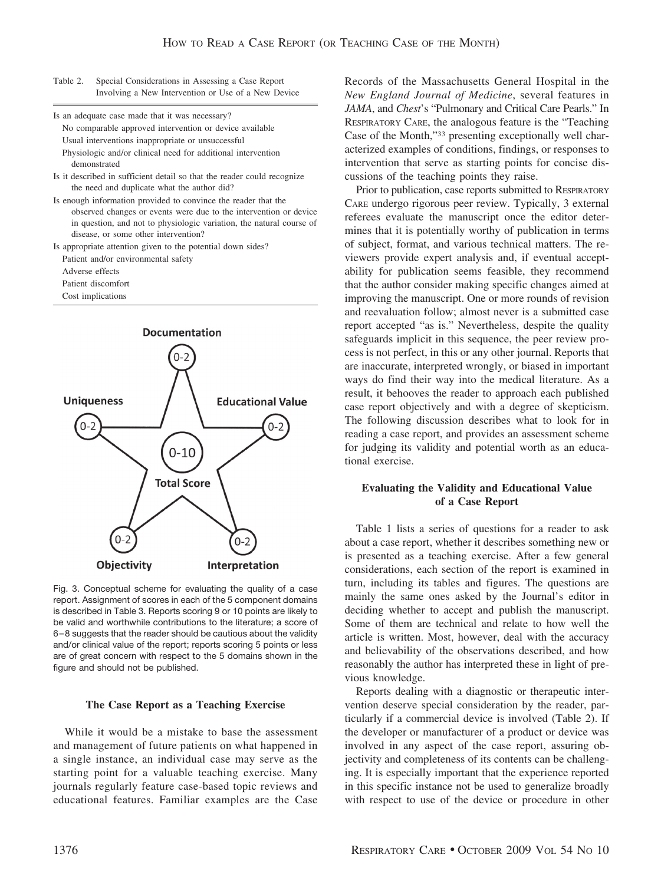Table 2. Special Considerations in Assessing a Case Report Involving a New Intervention or Use of a New Device

Is an adequate case made that it was necessary? No comparable approved intervention or device available Usual interventions inappropriate or unsuccessful

Physiologic and/or clinical need for additional intervention demonstrated

- Is it described in sufficient detail so that the reader could recognize the need and duplicate what the author did?
- Is enough information provided to convince the reader that the observed changes or events were due to the intervention or device in question, and not to physiologic variation, the natural course of disease, or some other intervention?

Is appropriate attention given to the potential down sides? Patient and/or environmental safety

Adverse effects

Patient discomfort

Cost implications



Fig. 3. Conceptual scheme for evaluating the quality of a case report. Assignment of scores in each of the 5 component domains is described in Table 3. Reports scoring 9 or 10 points are likely to be valid and worthwhile contributions to the literature; a score of 6 – 8 suggests that the reader should be cautious about the validity and/or clinical value of the report; reports scoring 5 points or less are of great concern with respect to the 5 domains shown in the figure and should not be published.

#### **The Case Report as a Teaching Exercise**

While it would be a mistake to base the assessment and management of future patients on what happened in a single instance, an individual case may serve as the starting point for a valuable teaching exercise. Many journals regularly feature case-based topic reviews and educational features. Familiar examples are the Case

Records of the Massachusetts General Hospital in the *New England Journal of Medicine*, several features in *JAMA*, and *Chest*'s "Pulmonary and Critical Care Pearls." In RESPIRATORY CARE, the analogous feature is the "Teaching Case of the Month,"33 presenting exceptionally well characterized examples of conditions, findings, or responses to intervention that serve as starting points for concise discussions of the teaching points they raise.

Prior to publication, case reports submitted to RESPIRATORY CARE undergo rigorous peer review. Typically, 3 external referees evaluate the manuscript once the editor determines that it is potentially worthy of publication in terms of subject, format, and various technical matters. The reviewers provide expert analysis and, if eventual acceptability for publication seems feasible, they recommend that the author consider making specific changes aimed at improving the manuscript. One or more rounds of revision and reevaluation follow; almost never is a submitted case report accepted "as is." Nevertheless, despite the quality safeguards implicit in this sequence, the peer review process is not perfect, in this or any other journal. Reports that are inaccurate, interpreted wrongly, or biased in important ways do find their way into the medical literature. As a result, it behooves the reader to approach each published case report objectively and with a degree of skepticism. The following discussion describes what to look for in reading a case report, and provides an assessment scheme for judging its validity and potential worth as an educational exercise.

#### **Evaluating the Validity and Educational Value of a Case Report**

Table 1 lists a series of questions for a reader to ask about a case report, whether it describes something new or is presented as a teaching exercise. After a few general considerations, each section of the report is examined in turn, including its tables and figures. The questions are mainly the same ones asked by the Journal's editor in deciding whether to accept and publish the manuscript. Some of them are technical and relate to how well the article is written. Most, however, deal with the accuracy and believability of the observations described, and how reasonably the author has interpreted these in light of previous knowledge.

Reports dealing with a diagnostic or therapeutic intervention deserve special consideration by the reader, particularly if a commercial device is involved (Table 2). If the developer or manufacturer of a product or device was involved in any aspect of the case report, assuring objectivity and completeness of its contents can be challenging. It is especially important that the experience reported in this specific instance not be used to generalize broadly with respect to use of the device or procedure in other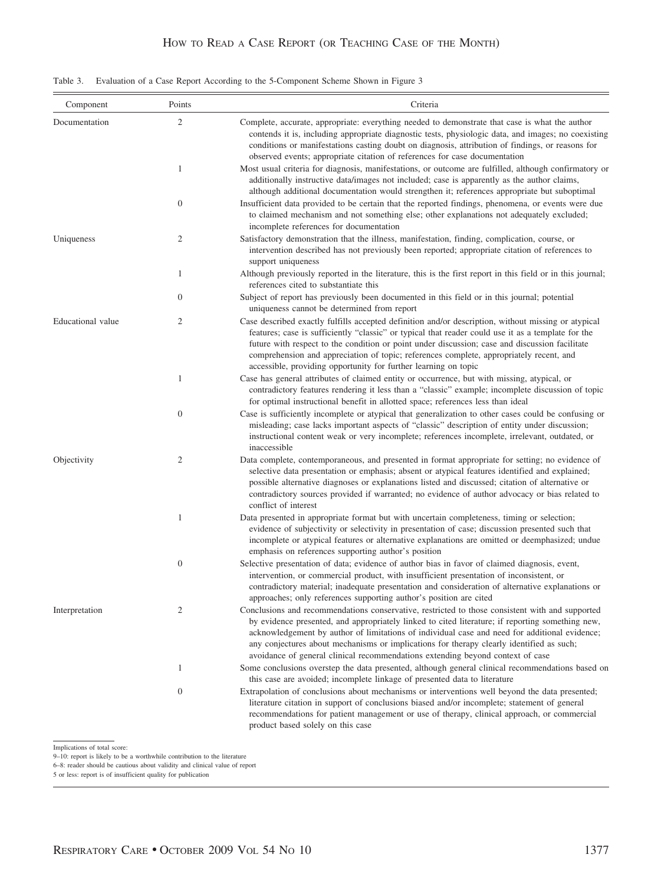## HOW TO READ A CASE REPORT (OR TEACHING CASE OF THE MONTH)

|  |  |  | Table 3. Evaluation of a Case Report According to the 5-Component Scheme Shown in Figure 3 |
|--|--|--|--------------------------------------------------------------------------------------------|
|  |  |  |                                                                                            |

| Component         | Points           | Criteria                                                                                                                                                                                                                                                                                                                                                                                                                                                                           |  |
|-------------------|------------------|------------------------------------------------------------------------------------------------------------------------------------------------------------------------------------------------------------------------------------------------------------------------------------------------------------------------------------------------------------------------------------------------------------------------------------------------------------------------------------|--|
| Documentation     | $\mathfrak{2}$   | Complete, accurate, appropriate: everything needed to demonstrate that case is what the author<br>contends it is, including appropriate diagnostic tests, physiologic data, and images; no coexisting<br>conditions or manifestations casting doubt on diagnosis, attribution of findings, or reasons for<br>observed events; appropriate citation of references for case documentation                                                                                            |  |
|                   | 1                | Most usual criteria for diagnosis, manifestations, or outcome are fulfilled, although confirmatory or<br>additionally instructive data/images not included; case is apparently as the author claims,<br>although additional documentation would strengthen it; references appropriate but suboptimal                                                                                                                                                                               |  |
|                   | $\boldsymbol{0}$ | Insufficient data provided to be certain that the reported findings, phenomena, or events were due<br>to claimed mechanism and not something else; other explanations not adequately excluded;<br>incomplete references for documentation                                                                                                                                                                                                                                          |  |
| Uniqueness        | $\overline{c}$   | Satisfactory demonstration that the illness, manifestation, finding, complication, course, or<br>intervention described has not previously been reported; appropriate citation of references to<br>support uniqueness                                                                                                                                                                                                                                                              |  |
|                   | $\mathbf{1}$     | Although previously reported in the literature, this is the first report in this field or in this journal;<br>references cited to substantiate this                                                                                                                                                                                                                                                                                                                                |  |
|                   | $\mathbf{0}$     | Subject of report has previously been documented in this field or in this journal; potential<br>uniqueness cannot be determined from report                                                                                                                                                                                                                                                                                                                                        |  |
| Educational value | $\overline{c}$   | Case described exactly fulfills accepted definition and/or description, without missing or atypical<br>features; case is sufficiently "classic" or typical that reader could use it as a template for the<br>future with respect to the condition or point under discussion; case and discussion facilitate<br>comprehension and appreciation of topic; references complete, appropriately recent, and<br>accessible, providing opportunity for further learning on topic          |  |
|                   | $\mathbf{1}$     | Case has general attributes of claimed entity or occurrence, but with missing, atypical, or<br>contradictory features rendering it less than a "classic" example; incomplete discussion of topic<br>for optimal instructional benefit in allotted space; references less than ideal                                                                                                                                                                                                |  |
|                   | $\boldsymbol{0}$ | Case is sufficiently incomplete or atypical that generalization to other cases could be confusing or<br>misleading; case lacks important aspects of "classic" description of entity under discussion;<br>instructional content weak or very incomplete; references incomplete, irrelevant, outdated, or<br>inaccessible                                                                                                                                                            |  |
| Objectivity       | $\overline{c}$   | Data complete, contemporaneous, and presented in format appropriate for setting; no evidence of<br>selective data presentation or emphasis; absent or atypical features identified and explained;<br>possible alternative diagnoses or explanations listed and discussed; citation of alternative or<br>contradictory sources provided if warranted; no evidence of author advocacy or bias related to<br>conflict of interest                                                     |  |
|                   | $\mathbf{1}$     | Data presented in appropriate format but with uncertain completeness, timing or selection;<br>evidence of subjectivity or selectivity in presentation of case; discussion presented such that<br>incomplete or atypical features or alternative explanations are omitted or deemphasized; undue<br>emphasis on references supporting author's position                                                                                                                             |  |
|                   | $\boldsymbol{0}$ | Selective presentation of data; evidence of author bias in favor of claimed diagnosis, event,<br>intervention, or commercial product, with insufficient presentation of inconsistent, or<br>contradictory material; inadequate presentation and consideration of alternative explanations or<br>approaches; only references supporting author's position are cited                                                                                                                 |  |
| Interpretation    | $\overline{c}$   | Conclusions and recommendations conservative, restricted to those consistent with and supported<br>by evidence presented, and appropriately linked to cited literature; if reporting something new,<br>acknowledgement by author of limitations of individual case and need for additional evidence;<br>any conjectures about mechanisms or implications for therapy clearly identified as such;<br>avoidance of general clinical recommendations extending beyond context of case |  |
|                   | 1                | Some conclusions overstep the data presented, although general clinical recommendations based on<br>this case are avoided; incomplete linkage of presented data to literature                                                                                                                                                                                                                                                                                                      |  |
|                   | $\boldsymbol{0}$ | Extrapolation of conclusions about mechanisms or interventions well beyond the data presented;<br>literature citation in support of conclusions biased and/or incomplete; statement of general<br>recommendations for patient management or use of therapy, clinical approach, or commercial<br>product based solely on this case                                                                                                                                                  |  |

Implications of total score:

6–8: reader should be cautious about validity and clinical value of report 5 or less: report is of insufficient quality for publication

<sup>9–10:</sup> report is likely to be a worthwhile contribution to the literature